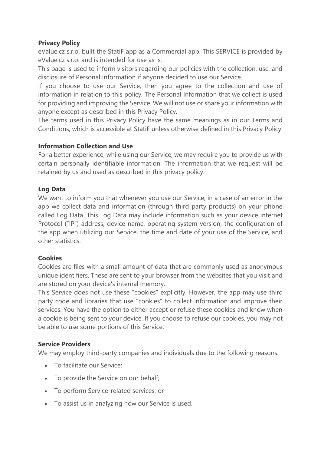## **Privacy Policy**

eValue.cz s.r.o. built the StatiF app as a Commercial app. This SERVICE is provided by eValue.cz s.r.o. and is intended for use as is.

This page is used to inform visitors regarding our policies with the collection, use, and disclosure of Personal Information if anyone decided to use our Service.

If you choose to use our Service, then you agree to the collection and use of information in relation to this policy. The Personal Information that we collect is used for providing and improving the Service. We will not use or share your information with anyone except as described in this Privacy Policy.

The terms used in this Privacy Policy have the same meanings as in our Terms and Conditions, which is accessible at StatiF unless otherwise defined in this Privacy Policy.

## **Information Collection and Use**

For a better experience, while using our Service, we may require you to provide us with certain personally identifiable information. The information that we request will be retained by us and used as described in this privacy policy.

## **Log Data**

We want to inform you that whenever you use our Service, in a case of an error in the app we collect data and information (through third party products) on your phone called Log Data. This Log Data may include information such as your device Internet Protocol ("IP") address, device name, operating system version, the configuration of the app when utilizing our Service, the time and date of your use of the Service, and other statistics.

## **Cookies**

Cookies are files with a small amount of data that are commonly used as anonymous unique identifiers. These are sent to your browser from the websites that you visit and are stored on your device's internal memory.

This Service does not use these "cookies" explicitly. However, the app may use third party code and libraries that use "cookies" to collect information and improve their services. You have the option to either accept or refuse these cookies and know when a cookie is being sent to your device. If you choose to refuse our cookies, you may not be able to use some portions of this Service.

# **Service Providers**

We may employ third-party companies and individuals due to the following reasons:

- To facilitate our Service;
- To provide the Service on our behalf;
- To perform Service-related services; or
- To assist us in analyzing how our Service is used.